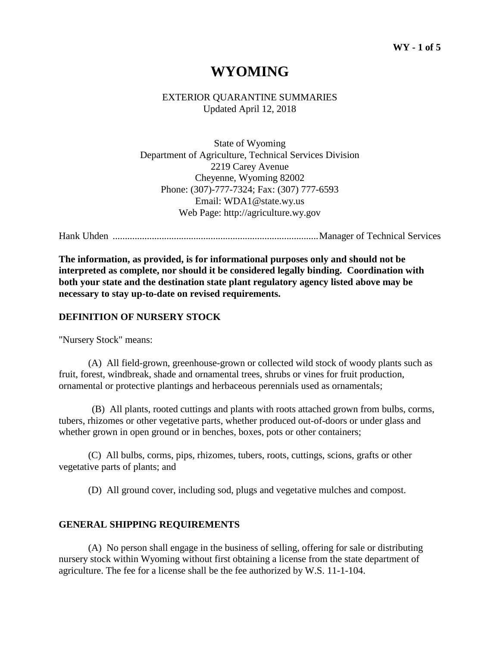# **WYOMING**

EXTERIOR QUARANTINE SUMMARIES Updated April 12, 2018

State of Wyoming Department of Agriculture, Technical Services Division 2219 Carey Avenue Cheyenne, Wyoming 82002 Phone: (307)-777-7324; Fax: (307) 777-6593 Email: WDA1@state.wy.us Web Page: http://agriculture.wy.gov

Hank Uhden ....................................................................................Manager of Technical Services

**The information, as provided, is for informational purposes only and should not be interpreted as complete, nor should it be considered legally binding. Coordination with both your state and the destination state plant regulatory agency listed above may be necessary to stay up-to-date on revised requirements.**

#### **DEFINITION OF NURSERY STOCK**

"Nursery Stock" means:

(A) All field-grown, greenhouse-grown or collected wild stock of woody plants such as fruit, forest, windbreak, shade and ornamental trees, shrubs or vines for fruit production, ornamental or protective plantings and herbaceous perennials used as ornamentals;

(B) All plants, rooted cuttings and plants with roots attached grown from bulbs, corms, tubers, rhizomes or other vegetative parts, whether produced out-of-doors or under glass and whether grown in open ground or in benches, boxes, pots or other containers;

(C) All bulbs, corms, pips, rhizomes, tubers, roots, cuttings, scions, grafts or other vegetative parts of plants; and

(D) All ground cover, including sod, plugs and vegetative mulches and compost.

#### **GENERAL SHIPPING REQUIREMENTS**

(A) No person shall engage in the business of selling, offering for sale or distributing nursery stock within Wyoming without first obtaining a license from the state department of agriculture. The fee for a license shall be the fee authorized by W.S. 11-1-104.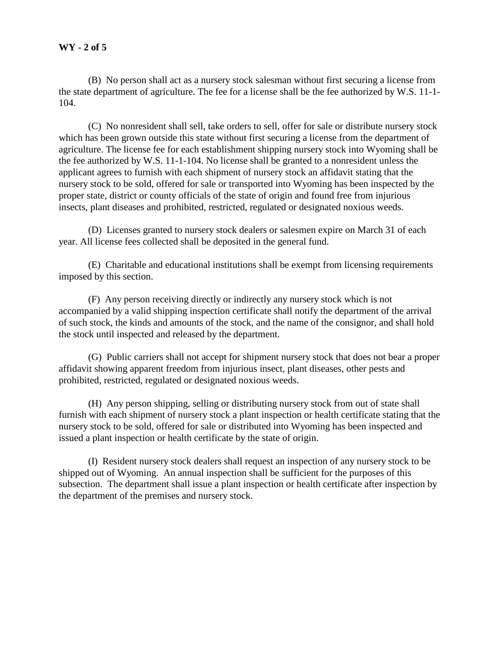(B) No person shall act as a nursery stock salesman without first securing a license from the state department of agriculture. The fee for a license shall be the fee authorized by W.S. 11-1- 104.

(C) No nonresident shall sell, take orders to sell, offer for sale or distribute nursery stock which has been grown outside this state without first securing a license from the department of agriculture. The license fee for each establishment shipping nursery stock into Wyoming shall be the fee authorized by W.S. 11-1-104. No license shall be granted to a nonresident unless the applicant agrees to furnish with each shipment of nursery stock an affidavit stating that the nursery stock to be sold, offered for sale or transported into Wyoming has been inspected by the proper state, district or county officials of the state of origin and found free from injurious insects, plant diseases and prohibited, restricted, regulated or designated noxious weeds.

(D) Licenses granted to nursery stock dealers or salesmen expire on March 31 of each year. All license fees collected shall be deposited in the general fund.

(E) Charitable and educational institutions shall be exempt from licensing requirements imposed by this section.

(F) Any person receiving directly or indirectly any nursery stock which is not accompanied by a valid shipping inspection certificate shall notify the department of the arrival of such stock, the kinds and amounts of the stock, and the name of the consignor, and shall hold the stock until inspected and released by the department.

(G) Public carriers shall not accept for shipment nursery stock that does not bear a proper affidavit showing apparent freedom from injurious insect, plant diseases, other pests and prohibited, restricted, regulated or designated noxious weeds.

(H) Any person shipping, selling or distributing nursery stock from out of state shall furnish with each shipment of nursery stock a plant inspection or health certificate stating that the nursery stock to be sold, offered for sale or distributed into Wyoming has been inspected and issued a plant inspection or health certificate by the state of origin.

(I) Resident nursery stock dealers shall request an inspection of any nursery stock to be shipped out of Wyoming. An annual inspection shall be sufficient for the purposes of this subsection. The department shall issue a plant inspection or health certificate after inspection by the department of the premises and nursery stock.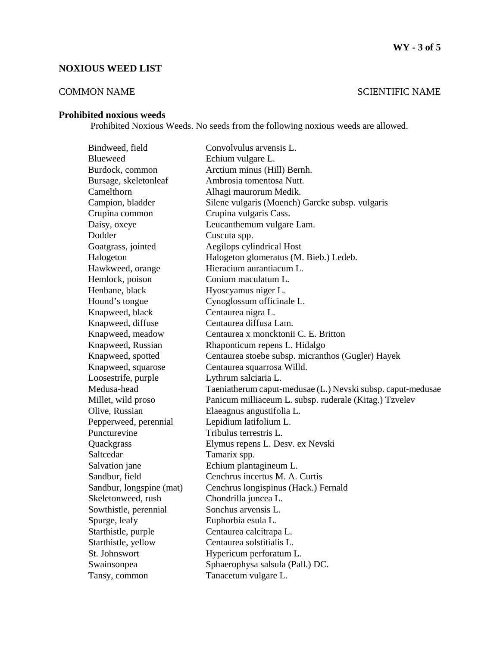## **NOXIOUS WEED LIST**

## COMMON NAME SCIENTIFIC NAME

### **Prohibited noxious weeds**

Prohibited Noxious Weeds. No seeds from the following noxious weeds are allowed.

| Bindweed, field          | Convolvulus arvensis L.                                     |
|--------------------------|-------------------------------------------------------------|
| <b>Blueweed</b>          | Echium vulgare L.                                           |
| Burdock, common          | Arctium minus (Hill) Bernh.                                 |
| Bursage, skeletonleaf    | Ambrosia tomentosa Nutt.                                    |
| Camelthorn               | Alhagi maurorum Medik.                                      |
| Campion, bladder         | Silene vulgaris (Moench) Garcke subsp. vulgaris             |
| Crupina common           | Crupina vulgaris Cass.                                      |
| Daisy, oxeye             | Leucanthemum vulgare Lam.                                   |
| Dodder                   | Cuscuta spp.                                                |
| Goatgrass, jointed       | Aegilops cylindrical Host                                   |
| Halogeton                | Halogeton glomeratus (M. Bieb.) Ledeb.                      |
| Hawkweed, orange         | Hieracium aurantiacum L.                                    |
| Hemlock, poison          | Conium maculatum L.                                         |
| Henbane, black           | Hyoscyamus niger L.                                         |
| Hound's tongue           | Cynoglossum officinale L.                                   |
| Knapweed, black          | Centaurea nigra L.                                          |
| Knapweed, diffuse        | Centaurea diffusa Lam.                                      |
| Knapweed, meadow         | Centaurea x moncktonii C. E. Britton                        |
| Knapweed, Russian        | Rhaponticum repens L. Hidalgo                               |
| Knapweed, spotted        | Centaurea stoebe subsp. micranthos (Gugler) Hayek           |
| Knapweed, squarose       | Centaurea squarrosa Willd.                                  |
| Loosestrife, purple      | Lythrum salciaria L.                                        |
| Medusa-head              | Taeniatherum caput-medusae (L.) Nevski subsp. caput-medusae |
| Millet, wild proso       | Panicum milliaceum L. subsp. ruderale (Kitag.) Tzvelev      |
| Olive, Russian           | Elaeagnus angustifolia L.                                   |
| Pepperweed, perennial    | Lepidium latifolium L.                                      |
| Puncturevine             | Tribulus terrestris L.                                      |
| Quackgrass               | Elymus repens L. Desv. ex Nevski                            |
| Saltcedar                | Tamarix spp.                                                |
| Salvation jane           | Echium plantagineum L.                                      |
| Sandbur, field           | Cenchrus incertus M. A. Curtis                              |
| Sandbur, longspine (mat) | Cenchrus longispinus (Hack.) Fernald                        |
| Skeletonweed, rush       | Chondrilla juncea L.                                        |
| Sowthistle, perennial    | Sonchus arvensis L.                                         |
| Spurge, leafy            | Euphorbia esula L.                                          |
| Starthistle, purple      | Centaurea calcitrapa L.                                     |
| Starthistle, yellow      | Centaurea solstitialis L.                                   |
| St. Johnswort            | Hypericum perforatum L.                                     |
| Swainsonpea              | Sphaerophysa salsula (Pall.) DC.                            |
| Tansy, common            | Tanacetum vulgare L.                                        |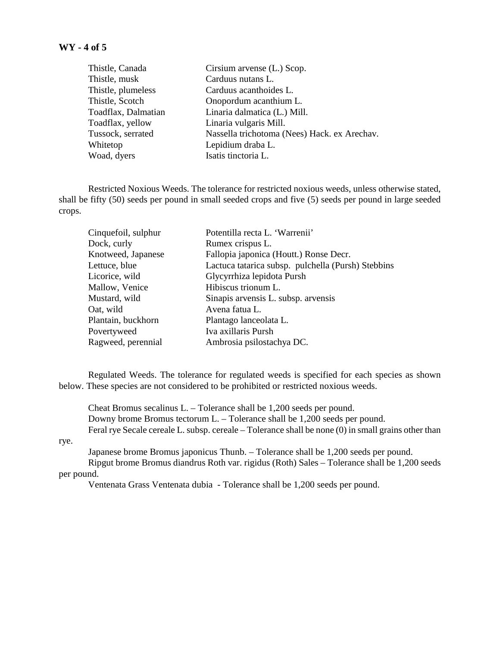| Thistle, Canada     | Cirsium arvense (L.) Scop.                   |
|---------------------|----------------------------------------------|
| Thistle, musk       | Carduus nutans L.                            |
| Thistle, plumeless  | Carduus acanthoides L.                       |
| Thistle, Scotch     | Onopordum acanthium L.                       |
| Toadflax, Dalmatian | Linaria dalmatica (L.) Mill.                 |
| Toadflax, yellow    | Linaria vulgaris Mill.                       |
| Tussock, serrated   | Nassella trichotoma (Nees) Hack. ex Arechav. |
| Whitetop            | Lepidium draba L.                            |
| Woad, dyers         | Isatis tinctoria L.                          |
|                     |                                              |

Restricted Noxious Weeds. The tolerance for restricted noxious weeds, unless otherwise stated, shall be fifty (50) seeds per pound in small seeded crops and five (5) seeds per pound in large seeded crops.

| Cinquefoil, sulphur | Potentilla recta L. 'Warrenii'                     |
|---------------------|----------------------------------------------------|
| Dock, curly         | Rumex crispus L.                                   |
| Knotweed, Japanese  | Fallopia japonica (Houtt.) Ronse Decr.             |
| Lettuce, blue       | Lactuca tatarica subsp. pulchella (Pursh) Stebbins |
| Licorice, wild      | Glycyrrhiza lepidota Pursh                         |
| Mallow, Venice      | Hibiscus trionum L.                                |
| Mustard, wild       | Sinapis arvensis L. subsp. arvensis                |
| Oat, wild           | Avena fatua L.                                     |
| Plantain, buckhorn  | Plantago lanceolata L.                             |
| Povertyweed         | Iva axillaris Pursh                                |
| Ragweed, perennial  | Ambrosia psilostachya DC.                          |

Regulated Weeds. The tolerance for regulated weeds is specified for each species as shown below. These species are not considered to be prohibited or restricted noxious weeds.

Cheat Bromus secalinus L. – Tolerance shall be 1,200 seeds per pound. Downy brome Bromus tectorum L. – Tolerance shall be 1,200 seeds per pound. Feral rye Secale cereale L. subsp. cereale – Tolerance shall be none (0) in small grains other than

rye.

Japanese brome Bromus japonicus Thunb. – Tolerance shall be 1,200 seeds per pound.

Ripgut brome Bromus diandrus Roth var. rigidus (Roth) Sales – Tolerance shall be 1,200 seeds per pound.

Ventenata Grass Ventenata dubia - Tolerance shall be 1,200 seeds per pound.